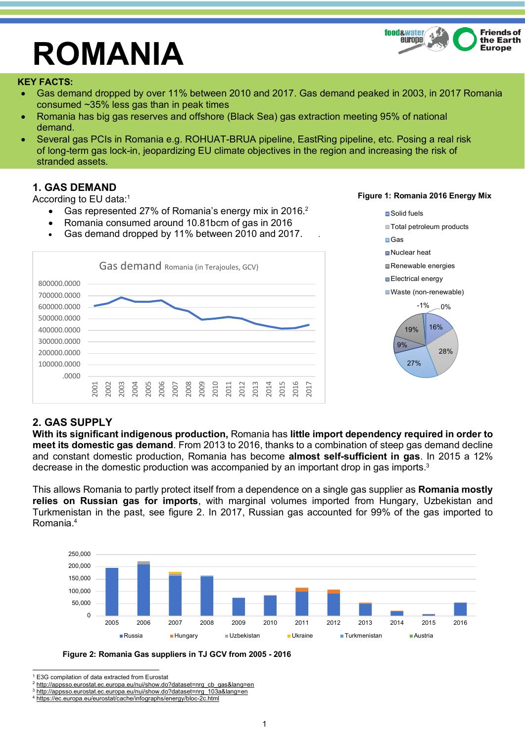

# **ROMANIA**

#### **KEY FACTS:**

- Gas demand dropped by over 11% between 2010 and 2017. Gas demand peaked in 2003, in 2017 Romania consumed ~35% less gas than in peak times
- Romania has big gas reserves and offshore (Black Sea) gas extraction meeting 95% of national demand.
- Several gas PCIs in Romania e.g. ROHUAT-BRUA pipeline, EastRing pipeline, etc. Posing a real risk of long-term gas lock-in, jeopardizing EU climate objectives in the region and increasing the risk of stranded assets.

## **1. GAS DEMAND**

According to EU data:1

- Gas represented 27% of Romania's energy mix in 2016.<sup>2</sup>
- Romania consumed around 10.81bcm of gas in 2016
- Gas demand dropped by 11% between 2010 and 2017.



## 16% 28% 27% 9% 19%  $-1\% - 0\%$ ■Solid fuels ■ Total petroleum products ■Gas ■Nuclear heat Renewable energies **■Electrical energy** Waste (non-renewable)

## **2. GAS SUPPLY**

**With its significant indigenous production,** Romania has **little import dependency required in order to meet its domestic gas demand**. From 2013 to 2016, thanks to a combination of steep gas demand decline and constant domestic production, Romania has become **almost self-sufficient in gas**. In 2015 a 12% decrease in the domestic production was accompanied by an important drop in gas imports.3

This allows Romania to partly protect itself from a dependence on a single gas supplier as **Romania mostly relies on Russian gas for imports**, with marginal volumes imported from Hungary, Uzbekistan and Turkmenistan in the past, see figure 2. In 2017, Russian gas accounted for 99% of the gas imported to Romania.4





E3G compilation of data extracted from Eurostat

#### **Figure 1: Romania 2016 Energy Mix**

<sup>2</sup> http://appsso.eurostat.ec.europa.eu/nui/show.do?dataset=nrg\_cb\_gas&lang=en

<sup>3</sup> http://appsso.eurostat.ec.europa.eu/nui/show.do?dataset=nrg\_103a&lang=en

<sup>4</sup> https://ec.europa.eu/eurostat/cache/infographs/energy/bloc-2c.html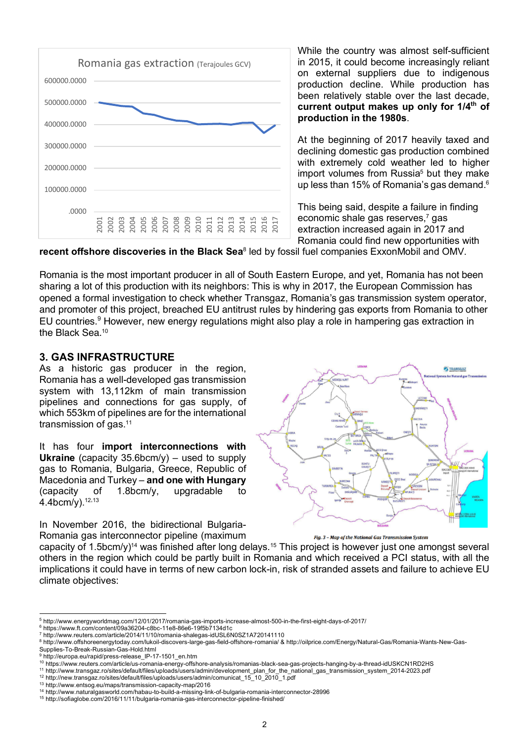

While the country was almost self-sufficient in 2015, it could become increasingly reliant on external suppliers due to indigenous production decline. While production has been relatively stable over the last decade, **current output makes up only for 1/4th of production in the 1980s**.

At the beginning of 2017 heavily taxed and declining domestic gas production combined with extremely cold weather led to higher import volumes from Russia<sup>5</sup> but they make up less than 15% of Romania's gas demand.<sup>6</sup>

This being said, despite a failure in finding economic shale gas reserves, <sup>7</sup> gas extraction increased again in 2017 and Romania could find new opportunities with

**recent offshore discoveries in the Black Sea**<sup>8</sup> led by fossil fuel companies ExxonMobil and OMV.

Romania is the most important producer in all of South Eastern Europe, and yet, Romania has not been sharing a lot of this production with its neighbors: This is why in 2017, the European Commission has opened a formal investigation to check whether Transgaz, Romania's gas transmission system operator, and promoter of this project, breached EU antitrust rules by hindering gas exports from Romania to other EU countries.<sup>9</sup> However, new energy regulations might also play a role in hampering gas extraction in the Black Sea.<sup>10</sup>

### **3. GAS INFRASTRUCTURE**

As a historic gas producer in the region, Romania has a well-developed gas transmission system with 13,112km of main transmission pipelines and connections for gas supply, of which 553km of pipelines are for the international transmission of gas.<sup>11</sup>

It has four **import interconnections with Ukraine** (capacity 35.6bcm/y) – used to supply gas to Romania, Bulgaria, Greece, Republic of Macedonia and Turkey – **and one with Hungary** (capacity of 1.8bcm/y, upgradable to 4.4bcm/y).12,13

In November 2016, the bidirectional Bulgaria-Romania gas interconnector pipeline (maximum



Fig. 3 - Map of the National Gas Transmission System

capacity of 1.5bcm/y)<sup>14</sup> was finished after long delays.<sup>15</sup> This project is however just one amongst several others in the region which could be partly built in Romania and which received a PCI status, with all the implications it could have in terms of new carbon lock-in, risk of stranded assets and failure to achieve EU climate objectives:

 <sup>5</sup> http://www.energyworldmag.com/12/01/2017/romania-gas-imports-increase-almost-500-in-the-first-eight-days-of-2017/

<sup>6</sup> https://www.ft.com/content/09a36204-c8bc-11e8-86e6-19f5b7134d1c

<sup>7</sup> http://www.reuters.com/article/2014/11/10/romania-shalegas-idUSL6N0SZ1A720141110

<sup>8</sup> http://www.offshoreenergytoday.com/lukoil-discovers-large-gas-field-offshore-romania/ & http://oilprice.com/Energy/Natural-Gas/Romania-Wants-New-Gas-Supplies-To-Break-Russian-Gas-Hold.html

<sup>9</sup> http://europa.eu/rapid/press-release\_IP-17-1501\_en.htm

<sup>10</sup> https://www.reuters.com/article/us-romania-energy-offshore-analysis/romanias-black-sea-gas-projects-hanging-by-a-thread-idUSKCN1RD2HS

<sup>11</sup> http://www.transgaz.ro/sites/default/files/uploads/users/admin/development\_plan\_for\_the\_national\_gas\_transmission\_system\_2014-2023.pdf

<sup>12</sup> http://new.transgaz.ro/sites/default/files/uploads/users/admin/comunicat\_15\_10\_2010\_1.pdf

<sup>13</sup> http://www.entsog.eu/maps/transmission-capacity-map/2016

<sup>14</sup> http://www.naturalgasworld.com/habau-to-build-a-missing-link-of-bulgaria-romania-interconnector-28996

<sup>15</sup> http://sofiaglobe.com/2016/11/11/bulgaria-romania-gas-interconnector-pipeline-finished/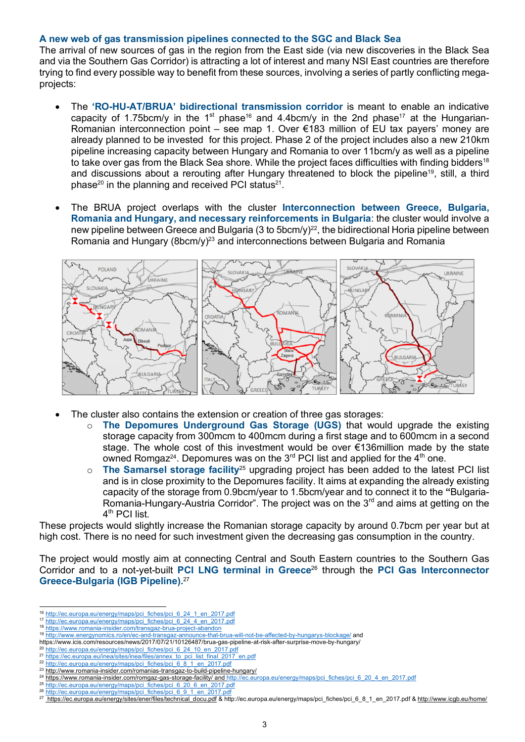#### **A new web of gas transmission pipelines connected to the SGC and Black Sea**

The arrival of new sources of gas in the region from the East side (via new discoveries in the Black Sea and via the Southern Gas Corridor) is attracting a lot of interest and many NSI East countries are therefore trying to find every possible way to benefit from these sources, involving a series of partly conflicting megaprojects:

- The **'RO-HU-AT/BRUA' bidirectional transmission corridor** is meant to enable an indicative capacity of 1.75bcm/y in the 1<sup>st</sup> phase<sup>16</sup> and 4.4bcm/y in the 2nd phase<sup>17</sup> at the Hungarian-Romanian interconnection point – see map 1. Over €183 million of EU tax payers' money are already planned to be invested for this project. Phase 2 of the project includes also a new 210km pipeline increasing capacity between Hungary and Romania to over 11bcm/y as well as a pipeline to take over gas from the Black Sea shore. While the project faces difficulties with finding bidders<sup>18</sup> and discussions about a rerouting after Hungary threatened to block the pipeline<sup>19</sup>, still, a third phase<sup>20</sup> in the planning and received PCI status<sup>21</sup>.
- The BRUA project overlaps with the cluster **Interconnection between Greece, Bulgaria, Romania and Hungary, and necessary reinforcements in Bulgaria**: the cluster would involve a new pipeline between Greece and Bulgaria (3 to 5bcm/y)<sup>22</sup>, the bidirectional Horia pipeline between Romania and Hungary (8bcm/y)<sup>23</sup> and interconnections between Bulgaria and Romania



- The cluster also contains the extension or creation of three gas storages:
	- o **The Depomures Underground Gas Storage (UGS)** that would upgrade the existing storage capacity from 300mcm to 400mcm during a first stage and to 600mcm in a second stage. The whole cost of this investment would be over €136million made by the state owned Romgaz<sup>24</sup>. Depomures was on the 3<sup>rd</sup> PCI list and applied for the 4<sup>th</sup> one.
	- o **The Samarsel storage facility**<sup>25</sup> upgrading project has been added to the latest PCI list and is in close proximity to the Depomures facility. It aims at expanding the already existing capacity of the storage from 0.9bcm/year to 1.5bcm/year and to connect it to the **"**Bulgaria-Romania-Hungary-Austria Corridor". The project was on the  $3<sup>rd</sup>$  and aims at getting on the 4<sup>th</sup> PCI list.

These projects would slightly increase the Romanian storage capacity by around 0.7bcm per year but at high cost. There is no need for such investment given the decreasing gas consumption in the country.

The project would mostly aim at connecting Central and South Eastern countries to the Southern Gas Corridor and to a not-yet-built **PCI LNG terminal in Greece**<sup>26</sup> through the **PCI Gas Interconnector Greece-Bulgaria (IGB Pipeline).**<sup>27</sup>

 <sup>16</sup> http://ec.europa.eu/energy/maps/pci\_fiches/pci\_6\_24\_1\_en\_2017.pdf

<sup>17</sup> http://ec.europa.eu/energy/maps/pci\_fiches/pci\_6\_24\_4\_en\_2017.pdf <sup>18</sup> https://www.romania-insider.com/transgaz-brua-project-abandon

<sup>19</sup> http://www.energynomics.ro/en/ec-and-transgaz-announce-that-brua-will-not-be-affected-by-hungarys-blockage/ and

https://www.icis.com/resources/news/2017/07/21/10126487/brua-gas-pipeline-at-risk-after-surprise-move-by-hungary/

<sup>&</sup>lt;sup>20</sup> http://ec.europa.eu/energy/maps/pci\_fiches/pci\_6\_24\_10\_en\_2017.pdf

<sup>21</sup> https://ec.europa.eu/inea/sites/inea/files/annex\_to\_pci\_list\_final\_2017\_en.pdf

<sup>&</sup>lt;sup>22</sup> http://ec.europa.eu/energy/maps/pci\_fiches/pci\_6\_8\_1\_en\_2017.pdf <sup>23</sup> http://www.romania-insider.com/romanias-transgaz-to-build-pipeline-hungary/

<sup>&</sup>lt;sup>24</sup> https://www.romania-insider.com/romgaz-gas-storage-facility/ and http://ec.europa.eu/energy/maps/pci\_fiches/pci\_6\_20\_4\_en\_2017.pdf

<sup>25</sup> http://ec.europa.eu/energy/maps/pci\_fiches/pci\_6\_20\_6\_en\_2017.pdf

<sup>26</sup> http://ec.europa.eu/energy/maps/pci\_fiches/pci\_6\_9\_1\_en\_2017.pdf

<sup>27</sup> https://ec.europa.eu/energy/sites/ener/files/technical\_docu.pdf & http://ec.europa.eu/energy/maps/pci\_fiches/pci\_6\_8\_1\_en\_2017.pdf & http://www.icgb.eu/home/